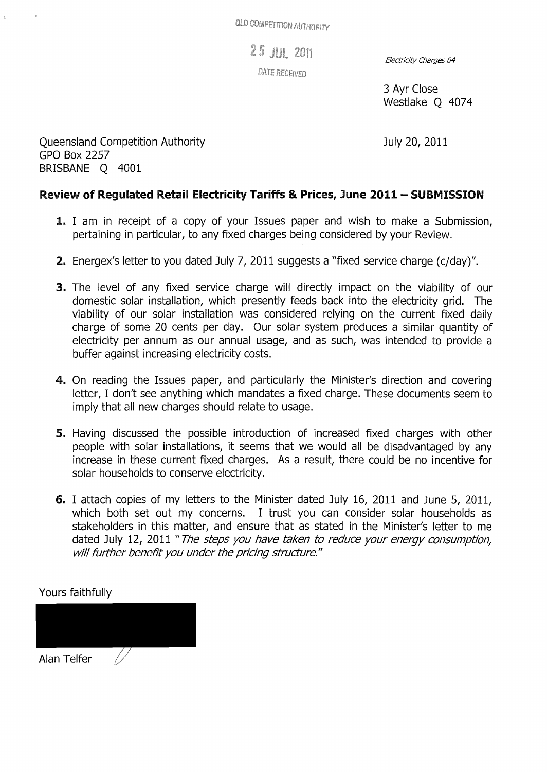25 JUL 2011

**DATE RECEIVED** 

Electricity Charges 04

3 Ayr Close Westlake Q 4074

July 20, 2011

Queensland Competition Authority GPO Box 2257 BRISBANE Q 4001

## Review of Regulated Retail Electricity Tariffs & Prices, June 2011 - SUBMISSION

- **1.** I am in receipt of a copy of your Issues paper and wish to make a Submission, pertaining in particular, to any fixed charges being considered by your Review.
- 2. Energex's letter to you dated July 7, 2011 suggests a "fixed service charge (c/day)".
- **3.** The level of any fixed service charge will directly impact on the viability of our domestic solar installation, which presently feeds back into the electricity grid. The viability of our solar installation was considered relying on the current fixed daily charge of some 20 cents per day. Our solar system produces a similar quantity of electricity per annum as our annual usage, and as such, was intended to provide a buffer against increasing electricity costs.
- 4. On reading the Issues paper, and particularly the Minister's direction and covering letter, I don't see anything which mandates a fixed charge. These documents seem to imply that all new charges should relate to usage.
- 5. Having discussed the possible introduction of increased fixed charges with other people with solar installations, it seems that we would all be disadvantaged by any increase in these current fixed charges. As a result, there could be no incentive for solar households to conserve electricity.
- 6. I attach copies of my letters to the Minister dated July 16, 2011 and June 5, 2011, which both set out my concerns. I trust you can consider solar households as stakeholders in this matter, and ensure that as stated in the Minister's letter to me dated July 12, 2011 "The steps you have taken to reduce your energy consumption, will further benefit you under the pricing structure."

Yours faithfully

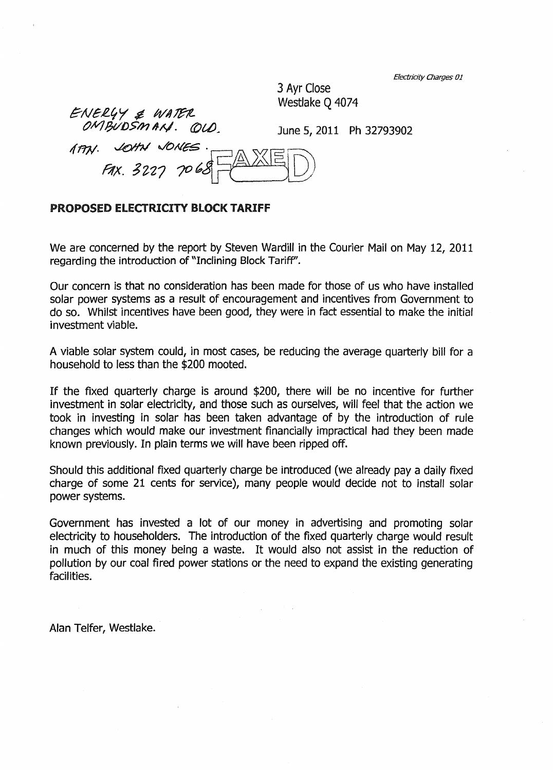Electricity Charges 01

3 Ayr Close Westlake Q 4074

ENERY & WATER<br>OMBUDSMAN. QUD. OMBUDSMAN. QU<br>. ann. John JONES

June 5, 2011 Ph 32793902

 $ext. 3227 7068 \pm 2005$ 

## PROPOSED ELECTRICITY BLOCK TARIFF

We are concerned by the report by Steven Wardill in the Courier Mail on May 12, 2011 regarding the introduction of "Inclining Block Tariff".

Our concern is that no consideration has been made for those of us who have installed solar power systems as a result of encouragement and incentives from Government to do so. Whilst incentives have been good, they were in fact essential to make the initial investment viable.

A viable solar system could, in most cases, be reducing the average quarterly bill for a household to less than the \$200 mooted.

If the fixed quarterly charge is around \$200, there will be no incentive for further investment in solar electricity, and those such as ourselves, will feel that the action we took in investing in solar has been taken advantage of by the introduction of rule changes which would make our investment financially impractical had they been made known previously. In plain terms we will have been ripped off.

Should this additional fixed quarterly charge be introduced (we already pay a daily fixed charge of some 21 cents for service), many people would decide not to install solar power systems.

Government has invested a lot of our money in advertising and promoting solar electricity to householders. The introduction of the fixed quarterly charge would result in much of this money being a waste. It would also not assist in the reduction of pollution by our coal fired power stations or the need to expand the existing generating facilities.

Alan Telfer, Westlake.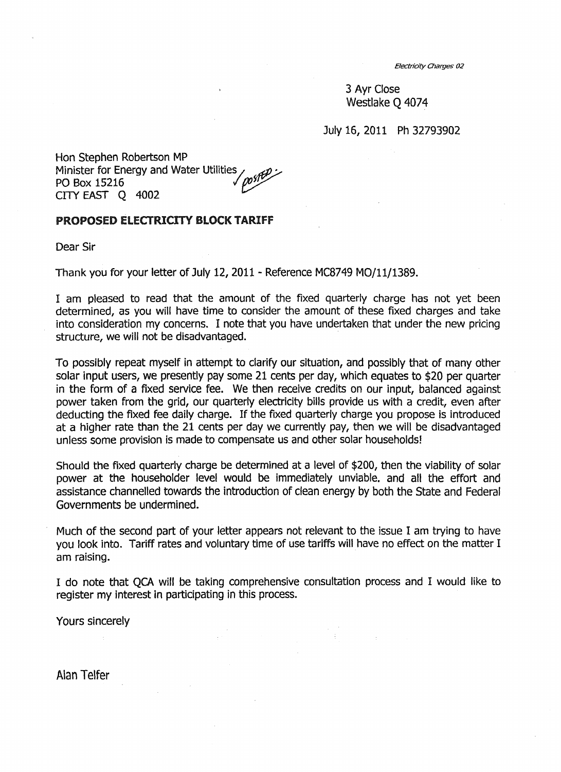EJectridty Charges 02

3 Ayr Close Westlake Q 4074

July 15, 2011 Ph 32793902

Hon Stephen Robertson MP Minister for Energy and Water Utilities /  $m$ sfter PO Box 15216 PO Box 15216 CITY EAST Q 4002

## PROPOSED ELECTRICITY BLOCK TARIff

Dear Sir

Thank you for your letter of July 12, 2011 - Reference MC8749 MO/l1/1389.

I am pleased to read that the amount of the fixed quarterly charge has not yet been determined, as you will have time to consider the amount of these fixed charges and take into consideration my concerns. I note that you have undertaken that under the new pricing structure, we will not be disadvantaged.

To possibly repeat myself in attempt to clarify our situation, and possibly that of many other solar input users, we presently pay some 21 cents per day, which equates to \$20 per quarter in the form of a fixed service fee. We then receive credits on our input, balanced against power taken from the grid, our quarterly electricity bills provide us with a credit, even after deducting the fixed fee daily charge. If the fixed quarterly charge you propose is introduced at a higher rate than the 21 cents per day we currently pay, then we will be disadvantaged unless some provision is made to compensate us and other solar households!

Should the fixed quarterly charge be determined at a level of \$200, then the viability of solar power at the householder level would be immediately unviable. and all the effort and assistance channelled towards the introduction of clean energy by both the State and Federal Governments be undermined.

Much of the second part of your letter appears not relevant to the issue I am trying to have you look into. Tariff rates and voluntary time of use tariffs will have no effect on the matter I am raising.

I do note that QCA will be taking comprehensive consultation process and I would like to register my interest in participating in this process.

Yours sincerely

Alan Telfer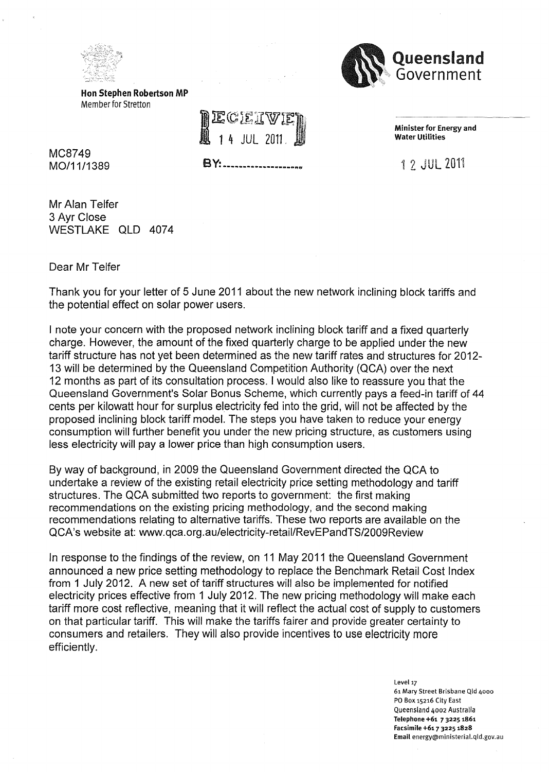



Hon Stephen Robertson MP Member for Stretton

 $JUI$  2011

**BY: ........................** 

Minister for Energy and Water Utilities

1 2 JUL 2011

MC8749 MO/11/1389

Mr Alan Telfer 3 Ayr Close WESTLAKE QLD 4074

Dear Mr Telfer

Thank you for your letter of 5 June 2011 about the new network inclining block tariffs and the potential effect on solar power users.

I note your concern with the proposed network inclining block tariff and a fixed quarterly charge. However, the amount of the fixed quarterly charge to be applied under the new tariff structure has not yet been determined as the new tariff rates and structures for 2012- 13 will be determined by the Queensland Competition Authority (QCA) over the next 12 months as part of its consultation process. I would also like to reassure you that the Queensland Government's Solar Bonus Scheme, which currently pays a feed-in tariff of 44 cents per kilowatt hour for surplus electricity fed into the grid, will not be affected by the proposed inclining block tariff model. The steps you have taken to reduce your energy consumption will further benefit you under the new pricing structure, as customers using less electricity will pay a lower price than high consumption users.

By way of background, in 2009 the Queensland Government directed the QCA to undertake a review of the existing retail electricity price setting methodology and tariff structures. The QCA submitted two reports to government: the first making recommendations on the existing pricing methodology, and the second making recommendations relating to alternative tariffs. These two reports are available on the QCA's website at: www.qca.org.au/electricity-retaiIlRevEPandTS/2009Review

In response to the findings of the review, on 11 May 2011 the Queensland Government announced a new price setting methodology to replace the Benchmark Retail Cost Index from 1 July 2012. A new set of tariff structures will also be implemented for notified electricity prices effective from 1 July 2012. The new pricing methodology will make each tariff more cost reflective, meaning that it will reflect the actual cost of supply to customers on that particular tariff. This will make the tariffs fairer and provide greater certainty to consumers and retailers. They will also provide incentives to use electricity more efficiently.

> Level 17 61 Mary Street Brisbane Qld 4000 PO Box 15216 City East Queensland 4002 Australia Telephone +61 73225 1861 Facsimile +61 7 3225 1828 Email energy@ministerial.qld.gov.au